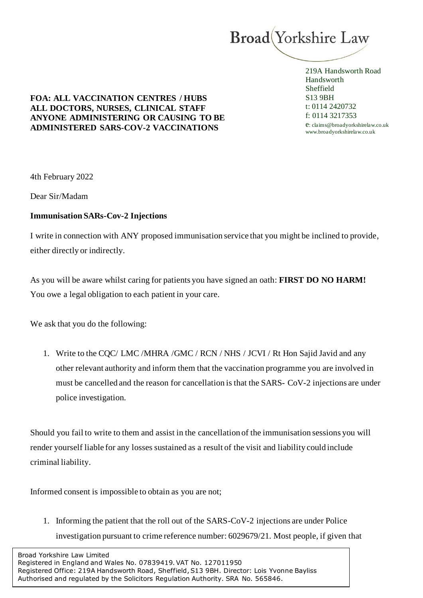

## **FOA: ALL VACCINATION CENTRES / HUBS ALL DOCTORS, NURSES, CLINICAL STAFF ANYONE ADMINISTERING OR CAUSING TO BE ADMINISTERED SARS-COV-2 VACCINATIONS**

219A Handsworth Road Handsworth Sheffield S13 9BH t: 0114 2420732 f: 0114 3217353 e: claims@broadyorkshirelaw.co.uk www.broadyorkshirelaw.co.uk

4th February 2022

Dear Sir/Madam

## **Immunisation SARs-Cov-2 Injections**

I write in connection with ANY proposed immunisation service that you might be inclined to provide, either directly or indirectly.

As you will be aware whilst caring for patients you have signed an oath: **FIRST DO NO HARM!** You owe a legal obligation to each patient in your care.

We ask that you do the following:

1. Write to the CQC/ LMC /MHRA /GMC / RCN / NHS / JCVI / Rt Hon Sajid Javid and any other relevant authority and inform them that the vaccination programme you are involved in must be cancelled and the reason for cancellation is that the SARS- CoV-2 injections are under police investigation.

Should you fail to write to them and assist in the cancellation of the immunisation sessions you will render yourself liable for any losses sustained as a result of the visit and liability could include criminal liability.

Informed consent is impossible to obtain as you are not;

1. Informing the patient that the roll out of the SARS-CoV-2 injections are under Police investigation pursuant to crime reference number: 6029679/21. Most people, if given that